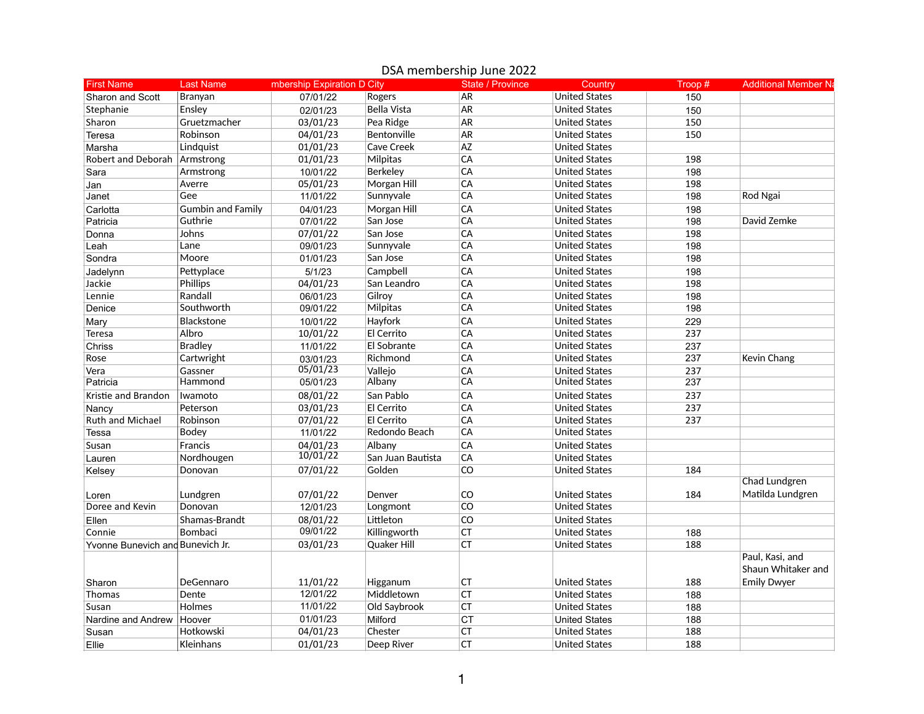| <b>First Name</b>                | <b>Last Name</b>         | mbership Expiration D City |                    | State / Province | Country              | Troop # | <b>Additional Member Na</b> |
|----------------------------------|--------------------------|----------------------------|--------------------|------------------|----------------------|---------|-----------------------------|
| Sharon and Scott                 | Branyan                  | 07/01/22                   | Rogers             | <b>AR</b>        | <b>United States</b> | 150     |                             |
| Stephanie                        | Ensley                   | 02/01/23                   | <b>Bella Vista</b> | AR               | <b>United States</b> | 150     |                             |
| Sharon                           | Gruetzmacher             | 03/01/23                   | Pea Ridge          | <b>AR</b>        | <b>United States</b> | 150     |                             |
| Teresa                           | Robinson                 | 04/01/23                   | Bentonville        | <b>AR</b>        | <b>United States</b> | 150     |                             |
| Marsha                           | Lindquist                | 01/01/23                   | Cave Creek         | AZ               | <b>United States</b> |         |                             |
| Robert and Deborah               | Armstrong                | 01/01/23                   | Milpitas           | CA               | <b>United States</b> | 198     |                             |
| Sara                             | Armstrong                | 10/01/22                   | <b>Berkeley</b>    | CA               | <b>United States</b> | 198     |                             |
| Jan                              | Averre                   | 05/01/23                   | Morgan Hill        | CA               | <b>United States</b> | 198     |                             |
| Janet                            | Gee                      | 11/01/22                   | Sunnyvale          | CA               | <b>United States</b> | 198     | Rod Ngai                    |
| Carlotta                         | <b>Gumbin and Family</b> | 04/01/23                   | Morgan Hill        | CA               | <b>United States</b> | 198     |                             |
| Patricia                         | Guthrie                  | 07/01/22                   | San Jose           | CA               | <b>United States</b> | 198     | David Zemke                 |
| Donna                            | Johns                    | 07/01/22                   | San Jose           | CA               | <b>United States</b> | 198     |                             |
| Leah                             | Lane                     | 09/01/23                   | Sunnyvale          | CA               | United States        | 198     |                             |
| Sondra                           | Moore                    | 01/01/23                   | San Jose           | CA               | <b>United States</b> | 198     |                             |
| Jadelynn                         | Pettyplace               | 5/1/23                     | Campbell           | CA               | <b>United States</b> | 198     |                             |
| Jackie                           | <b>Phillips</b>          | 04/01/23                   | San Leandro        | CA               | <b>United States</b> | 198     |                             |
| Lennie                           | Randall                  | 06/01/23                   | Gilroy             | CA               | <b>United States</b> | 198     |                             |
| Denice                           | Southworth               | 09/01/22                   | Milpitas           | CA               | <b>United States</b> | 198     |                             |
| Mary                             | Blackstone               | 10/01/22                   | Hayfork            | CA               | <b>United States</b> | 229     |                             |
| Teresa                           | Albro                    | 10/01/22                   | El Cerrito         | CA               | <b>United States</b> | 237     |                             |
| Chriss                           | <b>Bradley</b>           | 11/01/22                   | El Sobrante        | CA               | <b>United States</b> | 237     |                             |
| Rose                             | Cartwright               | 03/01/23                   | Richmond           | CA               | <b>United States</b> | 237     | Kevin Chang                 |
| Vera                             | Gassner                  | 05/01/23                   | Vallejo            | CA               | <b>United States</b> | 237     |                             |
| Patricia                         | Hammond                  | 05/01/23                   | Albany             | CA               | <b>United States</b> | 237     |                             |
| Kristie and Brandon              | Iwamoto                  | 08/01/22                   | San Pablo          | CA               | <b>United States</b> | 237     |                             |
| Nancy                            | Peterson                 | 03/01/23                   | El Cerrito         | CA               | <b>United States</b> | 237     |                             |
| Ruth and Michael                 | Robinson                 | 07/01/22                   | El Cerrito         | CA               | <b>United States</b> | 237     |                             |
| Tessa                            | Bodey                    | 11/01/22                   | Redondo Beach      | CA               | <b>United States</b> |         |                             |
| Susan                            | Francis                  | 04/01/23                   | Albany             | CA               | <b>United States</b> |         |                             |
| Lauren                           | Nordhougen               | 10/01/22                   | San Juan Bautista  | CA               | <b>United States</b> |         |                             |
| Kelsey                           | Donovan                  | 07/01/22                   | Golden             | CO               | <b>United States</b> | 184     |                             |
|                                  |                          |                            |                    |                  |                      |         | Chad Lundgren               |
|                                  | Lundgren                 | 07/01/22                   | Denver             | $\rm CO$         | <b>United States</b> | 184     | Matilda Lundgren            |
| Loren<br>Doree and Kevin         | Donovan                  | 12/01/23                   | Longmont           | CO               | <b>United States</b> |         |                             |
| Ellen                            | Shamas-Brandt            | 08/01/22                   | Littleton          | CO               | <b>United States</b> |         |                             |
| Connie                           | Bombaci                  | 09/01/22                   | Killingworth       | CT               | <b>United States</b> | 188     |                             |
|                                  |                          |                            |                    | <b>CT</b>        |                      |         |                             |
| Yvonne Bunevich and Bunevich Jr. |                          | 03/01/23                   | Quaker Hill        |                  | <b>United States</b> | 188     | Paul, Kasi, and             |
|                                  |                          |                            |                    |                  |                      |         |                             |
|                                  |                          |                            |                    |                  |                      |         | Shaun Whitaker and          |
| Sharon                           | DeGennaro                | 11/01/22                   | Higganum           | CT               | <b>United States</b> | 188     | <b>Emily Dwyer</b>          |
| Thomas                           | Dente                    | 12/01/22                   | Middletown         | <b>CT</b>        | <b>United States</b> | 188     |                             |
| Susan                            | Holmes                   | 11/01/22                   | Old Saybrook       | <b>CT</b>        | <b>United States</b> | 188     |                             |
| Nardine and Andrew               | Hoover                   | 01/01/23                   | Milford            | <b>CT</b>        | <b>United States</b> | 188     |                             |
| Susan                            | Hotkowski                | 04/01/23                   | Chester            | <b>CT</b>        | <b>United States</b> | 188     |                             |
| Ellie                            | Kleinhans                | 01/01/23                   | Deep River         | CT               | <b>United States</b> | 188     |                             |

## DSA membership June 2022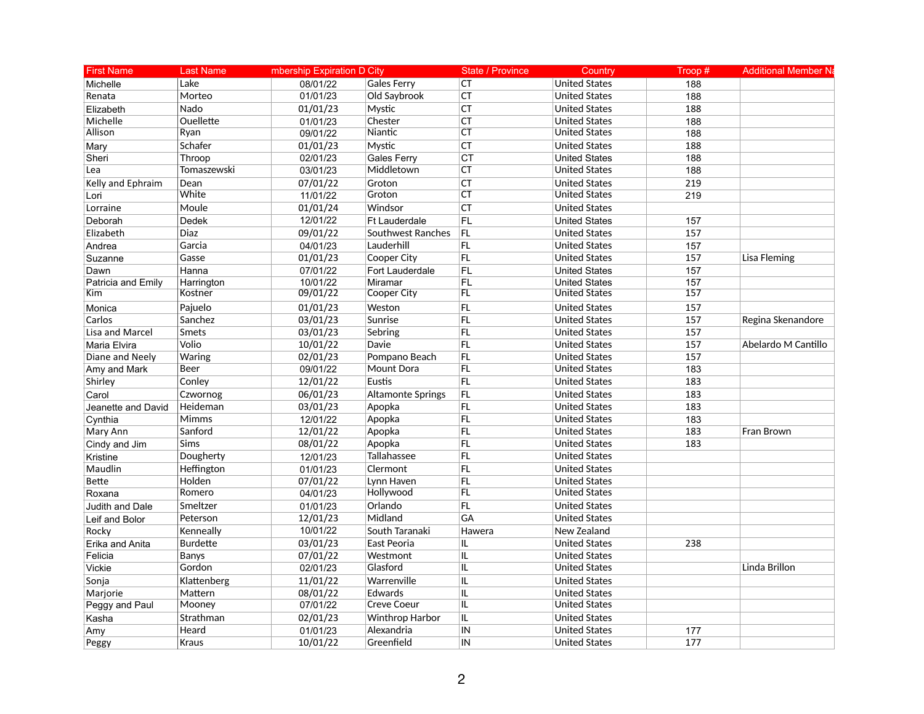| <b>First Name</b>      | <b>Last Name</b> | mbership Expiration D City |                          | <b>State / Province</b> | Country              | Troop # | <b>Additional Member Na</b> |
|------------------------|------------------|----------------------------|--------------------------|-------------------------|----------------------|---------|-----------------------------|
| Michelle               | Lake             | 08/01/22                   | <b>Gales Ferry</b>       | <b>CT</b>               | <b>United States</b> | 188     |                             |
| Renata                 | Morteo           | 01/01/23                   | Old Saybrook             | <b>CT</b>               | <b>United States</b> | 188     |                             |
| Elizabeth              | Nado             | 01/01/23                   | Mystic                   | <b>CT</b>               | <b>United States</b> | 188     |                             |
| Michelle               | Ouellette        | 01/01/23                   | Chester                  | <b>CT</b>               | <b>United States</b> | 188     |                             |
| Allison                | Ryan             | 09/01/22                   | Niantic                  | <b>CT</b>               | <b>United States</b> | 188     |                             |
| Mary                   | Schafer          | 01/01/23                   | Mystic                   | <b>CT</b>               | <b>United States</b> | 188     |                             |
| Sheri                  | Throop           | 02/01/23                   | <b>Gales Ferry</b>       | CT                      | <b>United States</b> | 188     |                             |
| Lea                    | Tomaszewski      | 03/01/23                   | Middletown               | <b>CT</b>               | <b>United States</b> | 188     |                             |
| Kelly and Ephraim      | Dean             | 07/01/22                   | Groton                   | CT                      | <b>United States</b> | 219     |                             |
| Lori                   | White            | 11/01/22                   | Groton                   | <b>CT</b>               | <b>United States</b> | 219     |                             |
| Lorraine               | Moule            | 01/01/24                   | Windsor                  | <b>CT</b>               | <b>United States</b> |         |                             |
| Deborah                | Dedek            | 12/01/22                   | Ft Lauderdale            | FL                      | <b>United States</b> | 157     |                             |
| Elizabeth              | <b>Diaz</b>      | 09/01/22                   | Southwest Ranches        | <b>FL</b>               | <b>United States</b> | 157     |                             |
| Andrea                 | Garcia           | 04/01/23                   | Lauderhill               | FL                      | <b>United States</b> | 157     |                             |
| Suzanne                | Gasse            | 01/01/23                   | Cooper City              | FL                      | <b>United States</b> | 157     | Lisa Fleming                |
| Dawn                   | Hanna            | 07/01/22                   | Fort Lauderdale          | <b>FL</b>               | <b>United States</b> | 157     |                             |
| Patricia and Emily     | Harrington       | 10/01/22                   | Miramar                  | <b>FL</b>               | <b>United States</b> | 157     |                             |
| Kim                    | Kostner          | 09/01/22                   | Cooper City              | FL                      | <b>United States</b> | 157     |                             |
| Monica                 | Pajuelo          | 01/01/23                   | Weston                   | FL.                     | <b>United States</b> | 157     |                             |
| Carlos                 | Sanchez          | 03/01/23                   | Sunrise                  | FL.                     | <b>United States</b> | 157     | Regina Skenandore           |
| <b>Lisa and Marcel</b> | Smets            | 03/01/23                   | Sebring                  | FL.                     | <b>United States</b> | 157     |                             |
| Maria Elvira           | Volio            | 10/01/22                   | Davie                    | FL.                     | <b>United States</b> | 157     | Abelardo M Cantillo         |
| Diane and Neely        | Waring           | 02/01/23                   | Pompano Beach            | FL.                     | <b>United States</b> | 157     |                             |
| Amy and Mark           | Beer             | 09/01/22                   | Mount Dora               | FL                      | <b>United States</b> | 183     |                             |
| Shirley                | Conley           | 12/01/22                   | Eustis                   | FL.                     | <b>United States</b> | 183     |                             |
| Carol                  | Czwornog         | 06/01/23                   | <b>Altamonte Springs</b> | FL                      | <b>United States</b> | 183     |                             |
| Jeanette and David     | Heideman         | 03/01/23                   | Apopka                   | FL.                     | <b>United States</b> | 183     |                             |
| Cynthia                | <b>Mimms</b>     | 12/01/22                   | Apopka                   | <b>FL</b>               | <b>United States</b> | 183     |                             |
| Mary Ann               | Sanford          | 12/01/22                   | Apopka                   | FL                      | <b>United States</b> | 183     | Fran Brown                  |
| Cindy and Jim          | <b>Sims</b>      | 08/01/22                   | Apopka                   | FL.                     | <b>United States</b> | 183     |                             |
| Kristine               | Dougherty        | 12/01/23                   | Tallahassee              | <b>FL</b>               | <b>United States</b> |         |                             |
| Maudlin                | Heffington       | 01/01/23                   | Clermont                 | FL.                     | <b>United States</b> |         |                             |
| Bette                  | Holden           | 07/01/22                   | Lynn Haven               | FL                      | <b>United States</b> |         |                             |
| Roxana                 | Romero           | 04/01/23                   | Hollywood                | FL                      | <b>United States</b> |         |                             |
| Judith and Dale        | Smeltzer         | 01/01/23                   | Orlando                  | FL.                     | <b>United States</b> |         |                             |
| Leif and Bolor         | Peterson         | 12/01/23                   | Midland                  | GA                      | <b>United States</b> |         |                             |
| Rocky                  | Kenneally        | 10/01/22                   | South Taranaki           | Hawera                  | New Zealand          |         |                             |
| Erika and Anita        | <b>Burdette</b>  | 03/01/23                   | East Peoria              | IL                      | <b>United States</b> | 238     |                             |
| Felicia                | <b>Banys</b>     | 07/01/22                   | Westmont                 | IL                      | <b>United States</b> |         |                             |
| Vickie                 | Gordon           | 02/01/23                   | Glasford                 | IL                      | <b>United States</b> |         | Linda Brillon               |
| Sonja                  | Klattenberg      | 11/01/22                   | Warrenville              | IL                      | <b>United States</b> |         |                             |
| Marjorie               | Mattern          | 08/01/22                   | Edwards                  | IL                      | <b>United States</b> |         |                             |
| Peggy and Paul         | Mooney           | 07/01/22                   | <b>Creve Coeur</b>       | IL.                     | <b>United States</b> |         |                             |
| Kasha                  | Strathman        | 02/01/23                   | <b>Winthrop Harbor</b>   | IL                      | <b>United States</b> |         |                             |
| Amy                    | Heard            | 01/01/23                   | Alexandria               | IN                      | <b>United States</b> | 177     |                             |
| Peggy                  | Kraus            | 10/01/22                   | Greenfield               | IN                      | <b>United States</b> | 177     |                             |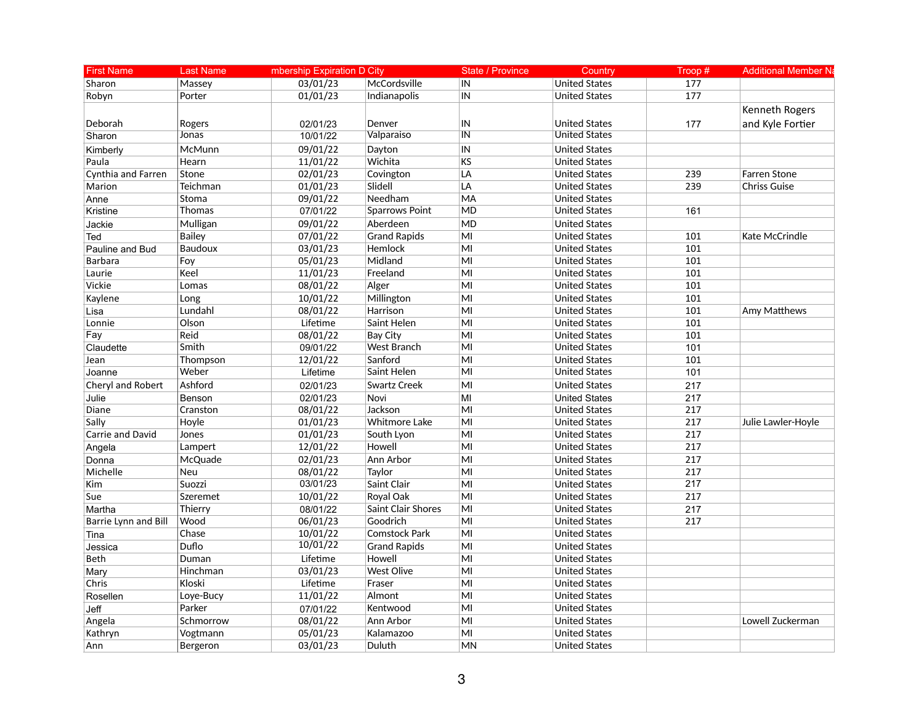| <b>First Name</b>    | <b>Last Name</b> | mbership Expiration D City |                       | <b>State / Province</b> | Country              | Troop# | <b>Additional Member Na</b> |
|----------------------|------------------|----------------------------|-----------------------|-------------------------|----------------------|--------|-----------------------------|
| Sharon               | Massey           | 03/01/23                   | McCordsville          | IN                      | <b>United States</b> | 177    |                             |
| Robyn                | Porter           | 01/01/23                   | Indianapolis          | IN                      | <b>United States</b> | 177    |                             |
|                      |                  |                            |                       |                         |                      |        | Kenneth Rogers              |
| Deborah              | Rogers           | 02/01/23                   | Denver                | IN                      | <b>United States</b> | 177    | and Kyle Fortier            |
| Sharon               | Jonas            | 10/01/22                   | Valparaiso            | $\overline{IN}$         | <b>United States</b> |        |                             |
| Kimberly             | McMunn           | 09/01/22                   | Dayton                | IN                      | <b>United States</b> |        |                             |
| Paula                | Hearn            | 11/01/22                   | Wichita               | KS                      | <b>United States</b> |        |                             |
| Cynthia and Farren   | Stone            | 02/01/23                   | Covington             | LA                      | <b>United States</b> | 239    | Farren Stone                |
| Marion               | Teichman         | 01/01/23                   | Slidell               | LA                      | <b>United States</b> | 239    | <b>Chriss Guise</b>         |
| Anne                 | Stoma            | 09/01/22                   | Needham               | MA                      | <b>United States</b> |        |                             |
| Kristine             | Thomas           | 07/01/22                   | <b>Sparrows Point</b> | <b>MD</b>               | <b>United States</b> | 161    |                             |
| Jackie               | Mulligan         | 09/01/22                   | Aberdeen              | <b>MD</b>               | <b>United States</b> |        |                             |
| Ted                  | <b>Bailey</b>    | 07/01/22                   | <b>Grand Rapids</b>   | MI                      | <b>United States</b> | 101    | Kate McCrindle              |
| Pauline and Bud      | <b>Baudoux</b>   | 03/01/23                   | Hemlock               | MI                      | <b>United States</b> | 101    |                             |
| <b>Barbara</b>       | Foy              | 05/01/23                   | Midland               | MI                      | <b>United States</b> | 101    |                             |
| Laurie               | Keel             | 11/01/23                   | Freeland              | MI                      | <b>United States</b> | 101    |                             |
| Vickie               | Lomas            | 08/01/22                   | Alger                 | MI                      | <b>United States</b> | 101    |                             |
| Kaylene              | Long             | 10/01/22                   | Millington            | MI                      | <b>United States</b> | 101    |                             |
| Lisa                 | Lundahl          | 08/01/22                   | Harrison              | MI                      | <b>United States</b> | 101    | Amy Matthews                |
| Lonnie               | Olson            | Lifetime                   | Saint Helen           | M <sub>l</sub>          | <b>United States</b> | 101    |                             |
| Fay                  | Reid             | 08/01/22                   | <b>Bay City</b>       | MI                      | <b>United States</b> | 101    |                             |
| Claudette            | Smith            | 09/01/22                   | West Branch           | MI                      | <b>United States</b> | 101    |                             |
| Jean                 | Thompson         | 12/01/22                   | Sanford               | MI                      | <b>United States</b> | 101    |                             |
| Joanne               | Weber            | Lifetime                   | Saint Helen           | MI                      | <b>United States</b> | 101    |                             |
| Cheryl and Robert    | Ashford          | 02/01/23                   | <b>Swartz Creek</b>   | MI                      | <b>United States</b> | 217    |                             |
| Julie                | Benson           | 02/01/23                   | Novi                  | MI                      | <b>United States</b> | 217    |                             |
| Diane                | Cranston         | 08/01/22                   | Jackson               | MI                      | <b>United States</b> | 217    |                             |
| Sally                | Hoyle            | 01/01/23                   | <b>Whitmore Lake</b>  | MI                      | <b>United States</b> | 217    | Julie Lawler-Hoyle          |
| Carrie and David     | Jones            | 01/01/23                   | South Lyon            | MI                      | <b>United States</b> | 217    |                             |
| Angela               | Lampert          | 12/01/22                   | Howell                | M <sub>l</sub>          | <b>United States</b> | 217    |                             |
| Donna                | McQuade          | 02/01/23                   | Ann Arbor             | MI                      | <b>United States</b> | 217    |                             |
| Michelle             | <b>Neu</b>       | 08/01/22                   | Taylor                | MI                      | <b>United States</b> | 217    |                             |
| Kim                  | Suozzi           | 03/01/23                   | Saint Clair           | MI                      | <b>United States</b> | 217    |                             |
| Sue                  | Szeremet         | 10/01/22                   | Royal Oak             | M <sub>l</sub>          | <b>United States</b> | 217    |                             |
| Martha               | Thierry          | 08/01/22                   | Saint Clair Shores    | MI                      | <b>United States</b> | 217    |                             |
| Barrie Lynn and Bill | Wood             | 06/01/23                   | Goodrich              | MI                      | <b>United States</b> | 217    |                             |
| Tina                 | Chase            | 10/01/22                   | Comstock Park         | MI                      | <b>United States</b> |        |                             |
| Jessica              | Duflo            | 10/01/22                   | <b>Grand Rapids</b>   | MI                      | <b>United States</b> |        |                             |
| Beth                 | Duman            | Lifetime                   | Howell                | MI                      | <b>United States</b> |        |                             |
| Mary                 | Hinchman         | 03/01/23                   | <b>West Olive</b>     | MI                      | <b>United States</b> |        |                             |
| Chris                | Kloski           | Lifetime                   | Fraser                | MI                      | <b>United States</b> |        |                             |
| Rosellen             | Loye-Bucy        | 11/01/22                   | Almont                | MI                      | <b>United States</b> |        |                             |
| Jeff                 | Parker           | 07/01/22                   | Kentwood              | MI                      | <b>United States</b> |        |                             |
| Angela               | Schmorrow        | 08/01/22                   | Ann Arbor             | M <sub>l</sub>          | <b>United States</b> |        | Lowell Zuckerman            |
| Kathryn              | Vogtmann         | 05/01/23                   | Kalamazoo             | M <sub>l</sub>          | <b>United States</b> |        |                             |
| Ann                  | Bergeron         | 03/01/23                   | Duluth                | <b>MN</b>               | <b>United States</b> |        |                             |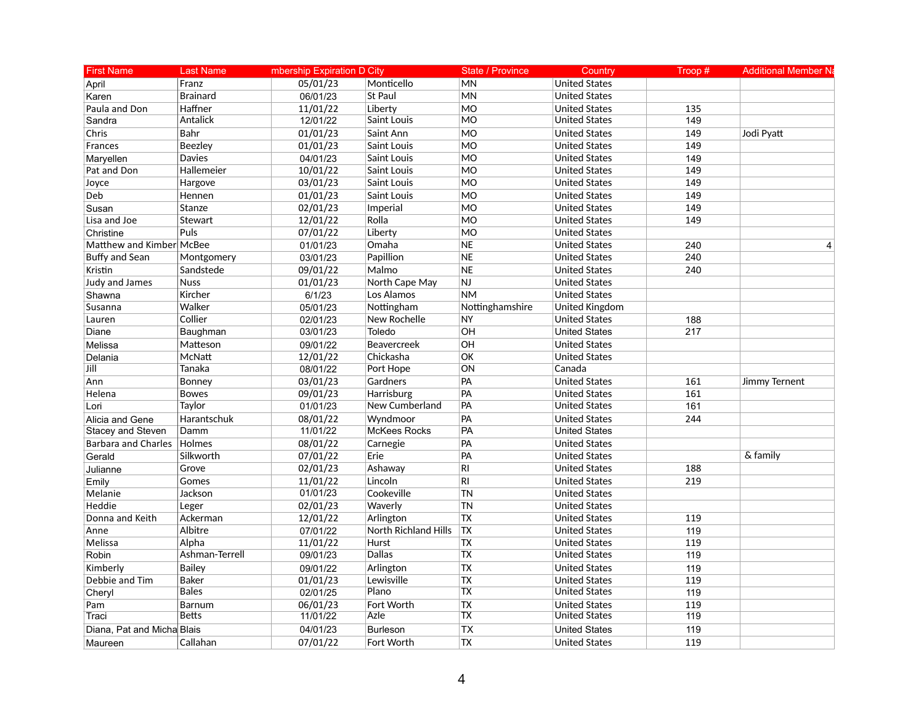| <b>First Name</b>          | <b>Last Name</b> | mbership Expiration D City |                             | State / Province         | Country              | Troop# | <b>Additional Member Na</b> |
|----------------------------|------------------|----------------------------|-----------------------------|--------------------------|----------------------|--------|-----------------------------|
| April                      | Franz            | 05/01/23                   | Monticello                  | <b>MN</b>                | <b>United States</b> |        |                             |
| Karen                      | <b>Brainard</b>  | 06/01/23                   | St Paul                     | MN                       | <b>United States</b> |        |                             |
| Paula and Don              | Haffner          | 11/01/22                   | Liberty                     | <b>MO</b>                | <b>United States</b> | 135    |                             |
| Sandra                     | Antalick         | 12/01/22                   | Saint Louis                 | MO                       | <b>United States</b> | 149    |                             |
| Chris                      | Bahr             | 01/01/23                   | Saint Ann                   | <b>MO</b>                | <b>United States</b> | 149    | Jodi Pyatt                  |
| Frances                    | <b>Beezley</b>   | 01/01/23                   | Saint Louis                 | <b>MO</b>                | <b>United States</b> | 149    |                             |
| Maryellen                  | Davies           | 04/01/23                   | Saint Louis                 | <b>MO</b>                | <b>United States</b> | 149    |                             |
| Pat and Don                | Hallemeier       | 10/01/22                   | Saint Louis                 | <b>MO</b>                | <b>United States</b> | 149    |                             |
| Joyce                      | Hargove          | 03/01/23                   | Saint Louis                 | <b>MO</b>                | <b>United States</b> | 149    |                             |
| Deb                        | Hennen           | 01/01/23                   | Saint Louis                 | <b>MO</b>                | <b>United States</b> | 149    |                             |
| Susan                      | Stanze           | 02/01/23                   | Imperial                    | <b>MO</b>                | <b>United States</b> | 149    |                             |
| Lisa and Joe               | Stewart          | 12/01/22                   | Rolla                       | <b>MO</b>                | <b>United States</b> | 149    |                             |
| Christine                  | Puls             | 07/01/22                   | Liberty                     | <b>MO</b>                | <b>United States</b> |        |                             |
| Matthew and Kimber McBee   |                  | 01/01/23                   | Omaha                       | NE                       | <b>United States</b> | 240    | $\overline{4}$              |
| <b>Buffy and Sean</b>      | Montgomery       | 03/01/23                   | Papillion                   | <b>NE</b>                | <b>United States</b> | 240    |                             |
| Kristin                    | Sandstede        | 09/01/22                   | Malmo                       | <b>NE</b>                | <b>United States</b> | 240    |                             |
| Judy and James             | <b>Nuss</b>      | 01/01/23                   | North Cape May              | NJ                       | <b>United States</b> |        |                             |
| Shawna                     | Kircher          | 6/1/23                     | Los Alamos                  | <b>NM</b>                | <b>United States</b> |        |                             |
| Susanna                    | Walker           | 05/01/23                   | Nottingham                  | Nottinghamshire          | United Kingdom       |        |                             |
| Lauren                     | Collier          | 02/01/23                   | New Rochelle                | <b>NY</b>                | <b>United States</b> | 188    |                             |
| Diane                      | Baughman         | 03/01/23                   | Toledo                      | OH                       | <b>United States</b> | 217    |                             |
| Melissa                    | Matteson         | 09/01/22                   | <b>Beavercreek</b>          | OH                       | <b>United States</b> |        |                             |
| Delania                    | McNatt           | 12/01/22                   | Chickasha                   | OK                       | <b>United States</b> |        |                             |
| Jill                       | Tanaka           | 08/01/22                   | Port Hope                   | ON                       | Canada               |        |                             |
| Ann                        | <b>Bonney</b>    | 03/01/23                   | Gardners                    | PA                       | <b>United States</b> | 161    | Jimmy Ternent               |
| Helena                     | <b>Bowes</b>     | 09/01/23                   | Harrisburg                  | PA                       | <b>United States</b> | 161    |                             |
| Lori                       | Taylor           | 01/01/23                   | New Cumberland              | PA                       | <b>United States</b> | 161    |                             |
| Alicia and Gene            | Harantschuk      | 08/01/22                   | Wyndmoor                    | PA                       | <b>United States</b> | 244    |                             |
| Stacey and Steven          | Damm             | 11/01/22                   | <b>McKees Rocks</b>         | PA                       | <b>United States</b> |        |                             |
| <b>Barbara and Charles</b> | Holmes           | 08/01/22                   | Carnegie                    | PA                       | <b>United States</b> |        |                             |
| Gerald                     | Silkworth        | 07/01/22                   | Erie                        | PA                       | <b>United States</b> |        | & family                    |
| Julianne                   | Grove            | 02/01/23                   | Ashaway                     | RI                       | <b>United States</b> | 188    |                             |
| Emily                      | Gomes            | 11/01/22                   | Lincoln                     | R1                       | <b>United States</b> | 219    |                             |
| Melanie                    | Jackson          | 01/01/23                   | Cookeville                  | <b>TN</b>                | <b>United States</b> |        |                             |
| Heddie                     | Leger            | 02/01/23                   | Waverly                     | <b>TN</b>                | <b>United States</b> |        |                             |
| Donna and Keith            | Ackerman         | 12/01/22                   | Arlington                   | TX                       | <b>United States</b> | 119    |                             |
| Anne                       | Albitre          | 07/01/22                   | <b>North Richland Hills</b> | <b>TX</b>                | <b>United States</b> | 119    |                             |
| Melissa                    | Alpha            | 11/01/22                   | Hurst                       | <b>TX</b>                | <b>United States</b> | 119    |                             |
| Robin                      | Ashman-Terrell   | 09/01/23                   | Dallas                      | <b>TX</b>                | <b>United States</b> | 119    |                             |
| Kimberly                   | <b>Bailey</b>    | 09/01/22                   | Arlington                   | <b>TX</b>                | <b>United States</b> | 119    |                             |
| Debbie and Tim             | <b>Baker</b>     | 01/01/23                   | Lewisville                  | <b>TX</b>                | <b>United States</b> | 119    |                             |
| Cheryl                     | <b>Bales</b>     | 02/01/25                   | Plano                       | $\overline{\mathsf{TX}}$ | <b>United States</b> | 119    |                             |
| Pam                        | <b>Barnum</b>    | 06/01/23                   | Fort Worth                  | TX                       | <b>United States</b> | 119    |                             |
| Traci                      | <b>Betts</b>     | 11/01/22                   | Azle                        | $\overline{TX}$          | <b>United States</b> | 119    |                             |
| Diana, Pat and Micha Blais |                  | 04/01/23                   | Burleson                    | <b>TX</b>                | <b>United States</b> | 119    |                             |
| Maureen                    | Callahan         | 07/01/22                   | Fort Worth                  | <b>TX</b>                | <b>United States</b> | 119    |                             |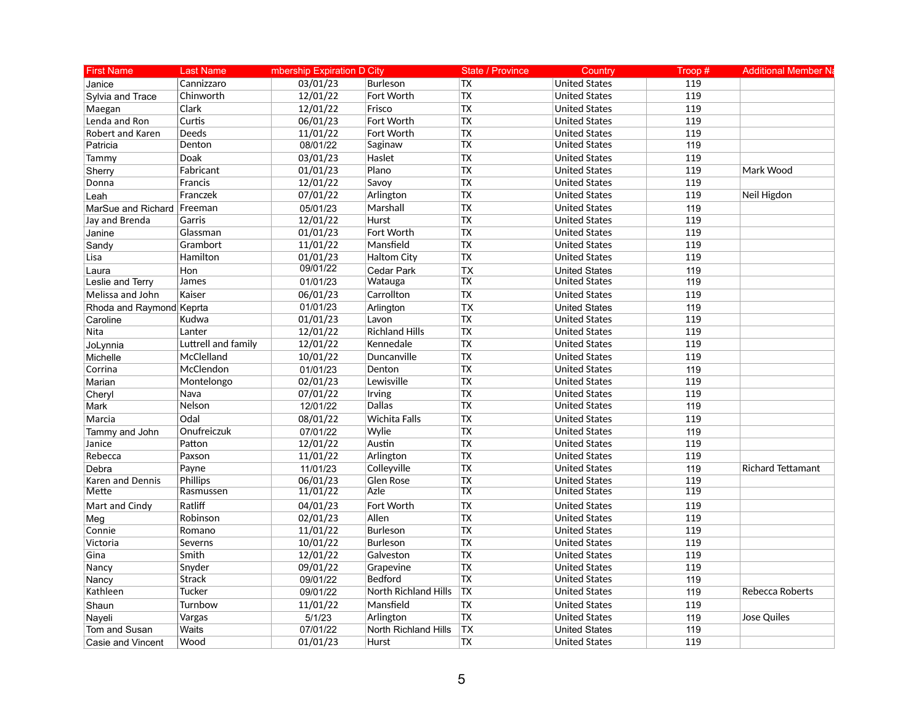| <b>First Name</b>  | <b>Last Name</b>    | mbership Expiration D City |                       | <b>State / Province</b>  | Country              | Troop $#$ | <b>Additional Member Na</b> |
|--------------------|---------------------|----------------------------|-----------------------|--------------------------|----------------------|-----------|-----------------------------|
| Janice             | Cannizzaro          | 03/01/23                   | Burleson              | <b>TX</b>                | <b>United States</b> | 119       |                             |
| Sylvia and Trace   | Chinworth           | 12/01/22                   | Fort Worth            | <b>TX</b>                | <b>United States</b> | 119       |                             |
| Maegan             | Clark               | 12/01/22                   | Frisco                | <b>TX</b>                | <b>United States</b> | 119       |                             |
| Lenda and Ron      | Curtis              | 06/01/23                   | Fort Worth            | <b>TX</b>                | <b>United States</b> | 119       |                             |
| Robert and Karen   | Deeds               | 11/01/22                   | Fort Worth            | <b>TX</b>                | <b>United States</b> | 119       |                             |
| Patricia           | Denton              | 08/01/22                   | Saginaw               | TX                       | <b>United States</b> | 119       |                             |
| Tammy              | Doak                | 03/01/23                   | Haslet                | <b>TX</b>                | <b>United States</b> | 119       |                             |
| Sherry             | Fabricant           | 01/01/23                   | Plano                 | <b>TX</b>                | <b>United States</b> | 119       | Mark Wood                   |
| Donna              | Francis             | 12/01/22                   | Savoy                 | <b>TX</b>                | <b>United States</b> | 119       |                             |
| Leah               | Franczek            | 07/01/22                   | Arlington             | <b>TX</b>                | <b>United States</b> | 119       | Neil Higdon                 |
| MarSue and Richard | Freeman             | 05/01/23                   | Marshall              | <b>TX</b>                | <b>United States</b> | 119       |                             |
| Jay and Brenda     | Garris              | 12/01/22                   | Hurst                 | $\overline{TX}$          | <b>United States</b> | 119       |                             |
| Janine             | Glassman            | 01/01/23                   | Fort Worth            | <b>TX</b>                | <b>United States</b> | 119       |                             |
| Sandy              | Grambort            | 11/01/22                   | Mansfield             | TX                       | <b>United States</b> | 119       |                             |
| Lisa               | Hamilton            | 01/01/23                   | <b>Haltom City</b>    | <b>TX</b>                | <b>United States</b> | 119       |                             |
| Laura              | Hon                 | 09/01/22                   | Cedar Park            | <b>TX</b>                | <b>United States</b> | 119       |                             |
| Leslie and Terry   | James               | 01/01/23                   | Watauga               | <b>TX</b>                | <b>United States</b> | 119       |                             |
| Melissa and John   | Kaiser              | 06/01/23                   | Carrollton            | $\overline{TX}$          | <b>United States</b> | 119       |                             |
| Rhoda and Raymond  | Keprta              | 01/01/23                   | Arlington             | <b>TX</b>                | <b>United States</b> | 119       |                             |
| Caroline           | Kudwa               | 01/01/23                   | Lavon                 | <b>TX</b>                | <b>United States</b> | 119       |                             |
| Nita               | Lanter              | 12/01/22                   | <b>Richland Hills</b> | $\overline{TX}$          | <b>United States</b> | 119       |                             |
| JoLynnia           | Luttrell and family | 12/01/22                   | Kennedale             | <b>TX</b>                | <b>United States</b> | 119       |                             |
| Michelle           | McClelland          | 10/01/22                   | Duncanville           | <b>TX</b>                | <b>United States</b> | 119       |                             |
| Corrina            | McClendon           | 01/01/23                   | Denton                | $\overline{TX}$          | <b>United States</b> | 119       |                             |
| Marian             | Montelongo          | 02/01/23                   | Lewisville            | <b>TX</b>                | <b>United States</b> | 119       |                             |
| Cheryl             | Nava                | 07/01/22                   | Irving                | <b>TX</b>                | <b>United States</b> | 119       |                             |
| Mark               | Nelson              | 12/01/22                   | Dallas                | <b>TX</b>                | <b>United States</b> | 119       |                             |
| Marcia             | Odal                | 08/01/22                   | Wichita Falls         | <b>TX</b>                | <b>United States</b> | 119       |                             |
| Tammy and John     | Onufreiczuk         | 07/01/22                   | Wylie                 | <b>TX</b>                | <b>United States</b> | 119       |                             |
| Janice             | Patton              | 12/01/22                   | Austin                | $\overline{\mathsf{TX}}$ | <b>United States</b> | 119       |                             |
| Rebecca            | Paxson              | 11/01/22                   | Arlington             | $\overline{\mathsf{TX}}$ | <b>United States</b> | 119       |                             |
| Debra              | Payne               | 11/01/23                   | Colleyville           | $\overline{TX}$          | <b>United States</b> | 119       | <b>Richard Tettamant</b>    |
| Karen and Dennis   | Phillips            | 06/01/23                   | Glen Rose             | <b>TX</b>                | <b>United States</b> | 119       |                             |
| <b>Mette</b>       | Rasmussen           | 11/01/22                   | Azle                  | TX                       | <b>United States</b> | 119       |                             |
| Mart and Cindy     | Ratliff             | 04/01/23                   | Fort Worth            | $\overline{TX}$          | <b>United States</b> | 119       |                             |
| Meg                | Robinson            | 02/01/23                   | Allen                 | <b>TX</b>                | <b>United States</b> | 119       |                             |
| Connie             | Romano              | 11/01/22                   | <b>Burleson</b>       | <b>TX</b>                | <b>United States</b> | 119       |                             |
| Victoria           | Severns             | 10/01/22                   | <b>Burleson</b>       | <b>TX</b>                | <b>United States</b> | 119       |                             |
| Gina               | Smith               | 12/01/22                   | Galveston             | <b>TX</b>                | <b>United States</b> | 119       |                             |
| Nancy              | Snyder              | 09/01/22                   | Grapevine             | <b>TX</b>                | <b>United States</b> | 119       |                             |
| Nancy              | Strack              | 09/01/22                   | Bedford               | <b>TX</b>                | <b>United States</b> | 119       |                             |
| Kathleen           | Tucker              | 09/01/22                   | North Richland Hills  | <b>TX</b>                | <b>United States</b> | 119       | Rebecca Roberts             |
| Shaun              | Turnbow             | 11/01/22                   | Mansfield             | $\overline{TX}$          | <b>United States</b> | 119       |                             |
| Nayeli             | Vargas              | 5/1/23                     | Arlington             | <b>TX</b>                | <b>United States</b> | 119       | Jose Quiles                 |
| Tom and Susan      | Waits               | 07/01/22                   | North Richland Hills  | <b>TX</b>                | <b>United States</b> | 119       |                             |
| Casie and Vincent  | Wood                | 01/01/23                   | Hurst                 | <b>TX</b>                | <b>United States</b> | 119       |                             |